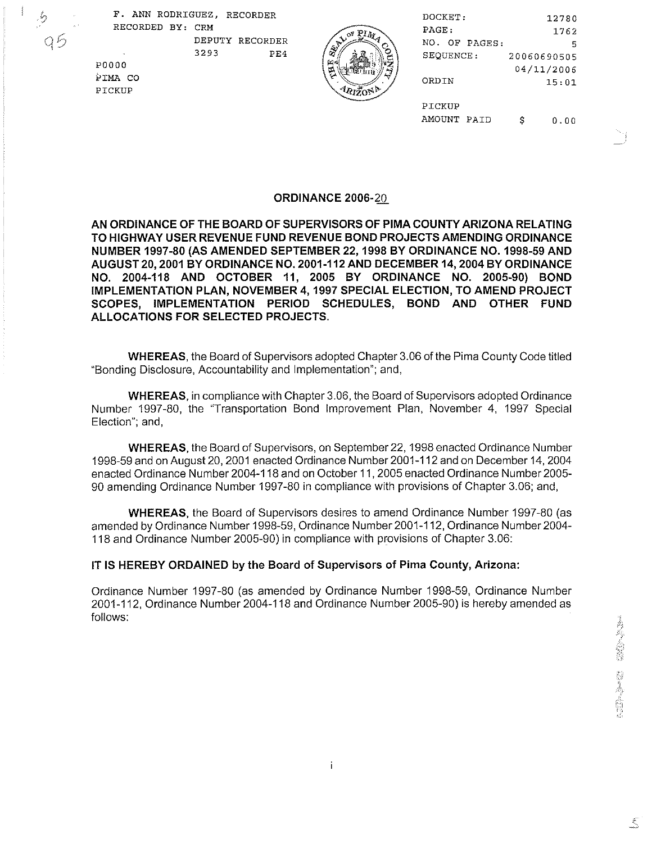F. ANN RODRIGUEZ, RECORDER RECORDED BY: CRM DEPUTY RECORDER

Qб

**P0000** PIMA CO PICKUP

3293  $PE4$ 

| DOCKET:          | 12780       |
|------------------|-------------|
| PAGE.            | 1762        |
| NO.<br>OF PAGES: | 5           |
| SEOUENCE:        | 20060690505 |
|                  | 04/11/2006  |
| ORDIN            | 15:01       |
|                  |             |
| PICKUP           |             |
| AMOUNT PAID      | n.nn        |

**ORDINANCE 2006-20** 

AN ORDINANCE OF THE BOARD OF SUPERVISORS OF PIMA COUNTY ARIZONA RELATING TO HIGHWAY USER REVENUE FUND REVENUE BOND PROJECTS AMENDING ORDINANCE NUMBER 1997-80 (AS AMENDED SEPTEMBER 22, 1998 BY ORDINANCE NO. 1998-59 AND AUGUST 20, 2001 BY ORDINANCE NO. 2001-112 AND DECEMBER 14, 2004 BY ORDINANCE NO. 2004-118 AND OCTOBER 11, 2005 BY ORDINANCE NO. 2005-90) BOND IMPLEMENTATION PLAN, NOVEMBER 4, 1997 SPECIAL ELECTION, TO AMEND PROJECT SCOPES, IMPLEMENTATION PERIOD SCHEDULES, BOND AND OTHER FUND ALLOCATIONS FOR SELECTED PROJECTS.

**WHEREAS, the Board of Supervisors adopted Chapter 3.06 of the Pima County Code titled** "Bonding Disclosure, Accountability and Implementation"; and,

**WHEREAS, in compliance with Chapter 3.06, the Board of Supervisors adopted Ordinance** Number 1997-80, the "Transportation Bond Improvement Plan, November 4, 1997 Special Election"; and,

**WHEREAS.** the Board of Supervisors, on September 22, 1998 enacted Ordinance Number 1998-59 and on August 20, 2001 enacted Ordinance Number 2001-112 and on December 14, 2004 enacted Ordinance Number 2004-118 and on October 11, 2005 enacted Ordinance Number 2005-90 amending Ordinance Number 1997-80 in compliance with provisions of Chapter 3.06; and,

**WHEREAS**, the Board of Supervisors desires to amend Ordinance Number 1997-80 (as amended by Ordinance Number 1998-59, Ordinance Number 2001-112, Ordinance Number 2004-118 and Ordinance Number 2005-90) in compliance with provisions of Chapter 3.06:

IT IS HEREBY ORDAINED by the Board of Supervisors of Pima County, Arizona:

Ordinance Number 1997-80 (as amended by Ordinance Number 1998-59, Ordinance Number 2001-112, Ordinance Number 2004-118 and Ordinance Number 2005-90) is hereby amended as follows:

 $\xi$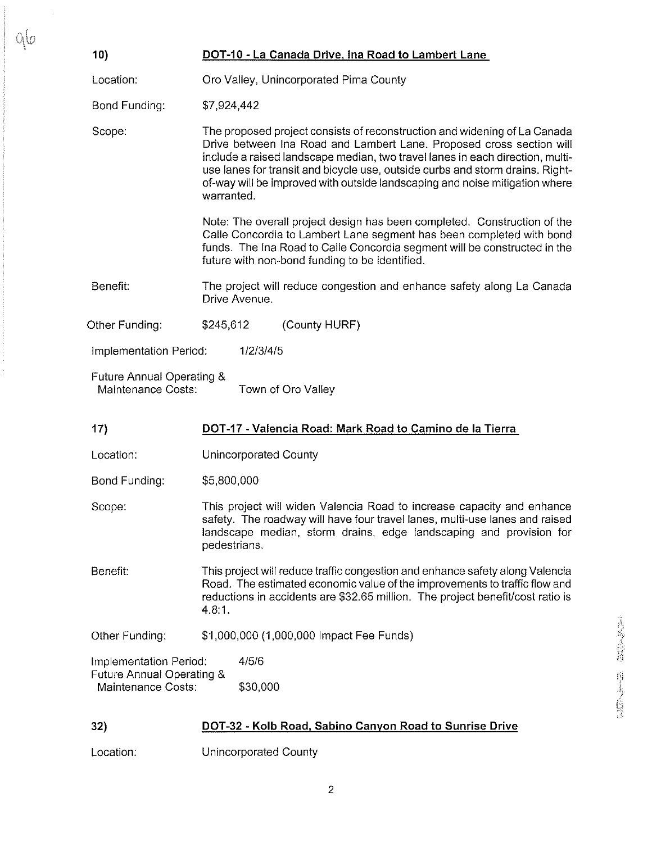| 10)                                                                                                | DOT-10 - La Canada Drive, Ina Road to Lambert Lane                                                                                                                                                                                                                                                                                                                                                               |  |
|----------------------------------------------------------------------------------------------------|------------------------------------------------------------------------------------------------------------------------------------------------------------------------------------------------------------------------------------------------------------------------------------------------------------------------------------------------------------------------------------------------------------------|--|
| Location:                                                                                          | Oro Valley, Unincorporated Pima County                                                                                                                                                                                                                                                                                                                                                                           |  |
| Bond Funding:                                                                                      | \$7,924,442                                                                                                                                                                                                                                                                                                                                                                                                      |  |
| Scope:                                                                                             | The proposed project consists of reconstruction and widening of La Canada<br>Drive between Ina Road and Lambert Lane. Proposed cross section will<br>include a raised landscape median, two travel lanes in each direction, multi-<br>use lanes for transit and bicycle use, outside curbs and storm drains. Right-<br>of-way will be improved with outside landscaping and noise mitigation where<br>warranted. |  |
|                                                                                                    | Note: The overall project design has been completed. Construction of the<br>Calle Concordia to Lambert Lane segment has been completed with bond<br>funds. The Ina Road to Calle Concordia segment will be constructed in the<br>future with non-bond funding to be identified.                                                                                                                                  |  |
| Benefit:<br>The project will reduce congestion and enhance safety along La Canada<br>Drive Avenue. |                                                                                                                                                                                                                                                                                                                                                                                                                  |  |
| Other Funding:<br>\$245,612<br>(County HURF)                                                       |                                                                                                                                                                                                                                                                                                                                                                                                                  |  |
| Implementation Period:<br>1/2/3/4/5                                                                |                                                                                                                                                                                                                                                                                                                                                                                                                  |  |
|                                                                                                    | Future Annual Operating &<br>Maintenance Costs:<br>Town of Oro Valley                                                                                                                                                                                                                                                                                                                                            |  |
| 17)                                                                                                | DOT-17 - Valencia Road: Mark Road to Camino de la Tierra                                                                                                                                                                                                                                                                                                                                                         |  |
| Location:                                                                                          | Unincorporated County                                                                                                                                                                                                                                                                                                                                                                                            |  |
| Bond Funding:                                                                                      | \$5,800,000                                                                                                                                                                                                                                                                                                                                                                                                      |  |
| Scope:                                                                                             | This project will widen Valencia Road to increase capacity and enhance<br>safety. The roadway will have four travel lanes, multi-use lanes and raised<br>landscape median, storm drains, edge landscaping and provision for<br>pedestrians.                                                                                                                                                                      |  |
| Benefit:                                                                                           | This project will reduce traffic congestion and enhance safety along Valencia<br>Road. The estimated economic value of the improvements to traffic flow and<br>reductions in accidents are \$32.65 million. The project benefit/cost ratio is<br>4.8:1.                                                                                                                                                          |  |
| \$1,000,000 (1,000,000 Impact Fee Funds)<br>Other Funding:                                         |                                                                                                                                                                                                                                                                                                                                                                                                                  |  |
| Implementation Period:                                                                             | 4/5/6                                                                                                                                                                                                                                                                                                                                                                                                            |  |
| Future Annual Operating &<br>Maintenance Costs:                                                    | \$30,000                                                                                                                                                                                                                                                                                                                                                                                                         |  |

## 32) DOT-32 - Kolb Road, Sabino Canyon Road to Sunrise Drive

Location: Unincorporated County

 $\sim$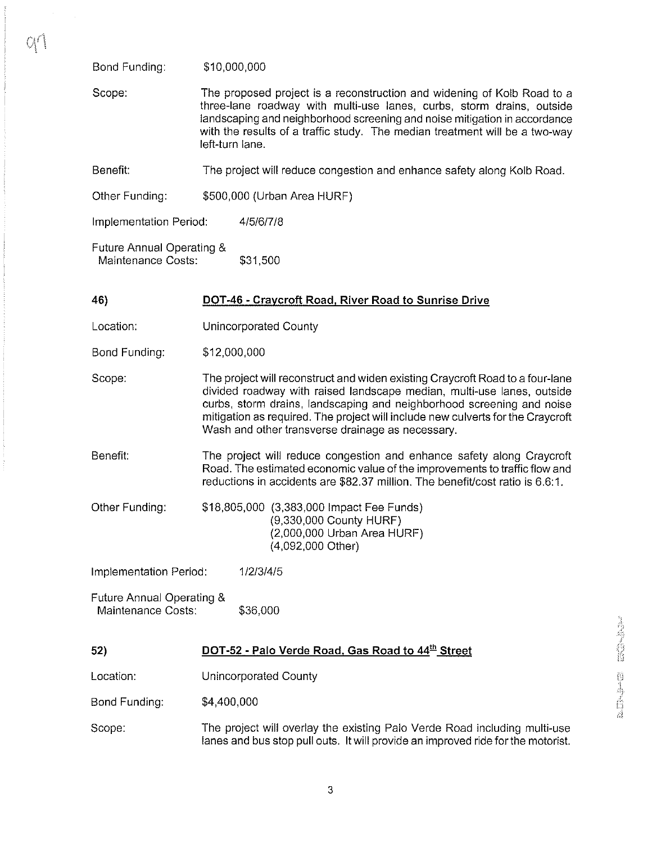Bond Funding: \$10,000,000

Scope: The proposed project is a reconstruction and widening of Kolb Road to a three-lane roadway with multi-use lanes, curbs, storm drains, outside landscaping and neighborhood screening and noise mitigation in accordance with the results of a traffic study. The median treatment will be a two-way left-turn lane.

Benefit: The project will reduce congestion and enhance safety along Kolb Road.

Other Funding: \$500,000 (Urban Area HURF)

Implementation Period: 4/5/6/7/8

Future Annual Operating & Maintenance Costs: \$31,500

## 46) DOT-46 - Cravcroft Road, River Road **to** Sunrise Drive

Location: Unincorporated County

Bond Funding: \$12,000,000

Scope: The project will reconstruct and widen existing Craycroft Road to a four-lane divided roadway with raised landscape median, multi-use lanes, outside curbs, storm drains, landscaping and neighborhood screening and noise mitigation as required. The project will include new culverts for the Craycroft Wash and other transverse drainage as necessary.

Benefit: The project will reduce congestion and enhance safety along Craycroft Road. The estimated economic value of the improvements to traffic flow and reductions in accidents are \$82.37 million. The benefit/cost ratio is 6.6:1.

Other Funding: \$18,805,000 (3,383,000 Impact Fee Funds) (9,330,000 County HURF) (2,000,000 Urban Area HURF) (4,092,000 Other)

Implementation Period: 112/314/5

Future Annual Operating & Maintenance Costs: \$36,000

## 52) **DOT-52 - Palo Verde Road, Gas Road to 44<sup>th</sup> Street**

Location: Unincorporated County

Bond Funding: \$4,400,000

Scope: The project will overlay the existing Palo Verde Road including multi-use lanes and bus stop pull outs. It will provide an improved ride for the motorist.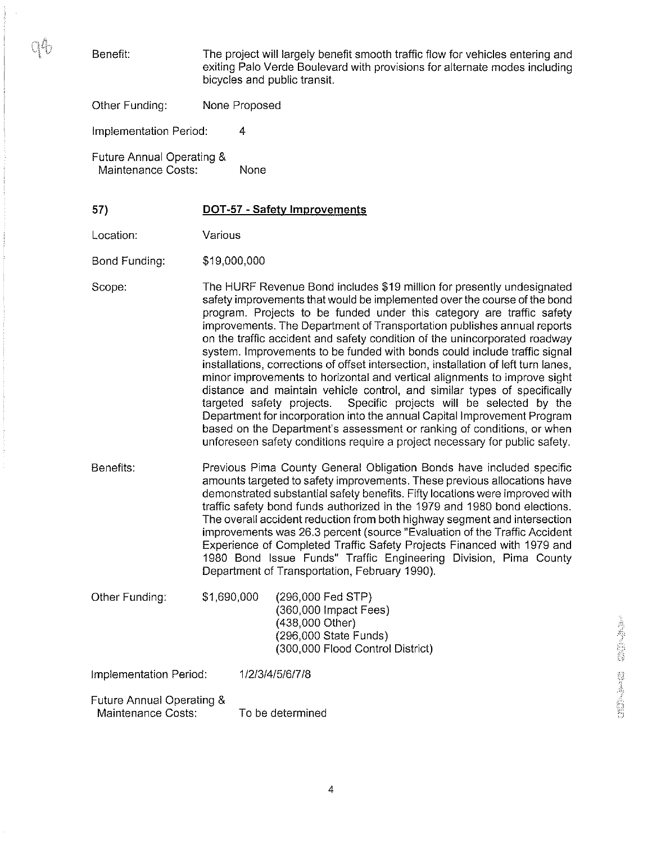mÁ.

Benefit: The project will largely benefit smooth traffic flow for vehicles entering and exiting Palo Verde Boulevard with provisions for alternate modes including bicycles and public transit.

Other Funding: None Proposed

Implementation Period: 4

Future Annual Operating & Maintenance Costs: None

57) **DOT-57 - Safety Improvements** 

Location: Various

Bond Funding: \$1 9,000,000

Scope: The HURF Revenue Bond includes \$19 million for presently undesignated safety improvements that would be implemented over the course of the bond program. Projects to be funded under this category are traffic safety improvements. The Department of Transportation publishes annual reports on the traffic accident and safety condition of the unincorporated roadway system. Improvements to be funded with bonds could include traffic signal installations, corrections of offset intersection, installation of left turn lanes, minor improvements to horizontal and vertical alignments to improve sight distance and maintain vehicle control, and similar types of specifically targeted safety projects. Specific projects will be selected by the Department for incorporation into the annual Capital Improvement Program based on the Department's assessment or ranking of conditions, or when unforeseen safety conditions require a project necessary for public safety.

Benefits: Previous Pima County General Obligation Bonds have included specific amounts targeted to safety improvements. These previous allocations have demonstrated substantial safety benefits. Fifty locations were improved with traffic safety bond funds authorized in the 1979 and 1980 bond elections. The overall accident reduction from both highway segment and intersection improvements was 26.3 percent (source "Evaluation of the Traffic Accident Experience of Completed Traffic Safety Projects Financed with 1979 and 1980 Bond Issue Funds" Traffic Engineering Division, Pima County Department of Transportation, February 1990).

Other Funding: \$1,690,000 (296,000 Fed STP) (360,000 Impact Fees) (438,000 Other) (296,000 State Funds) (300,000 Flood Control District)

Implementation Period: 1 /2/3/4/516/7/8

Future Annual Operating & Maintenance Costs: To be determined